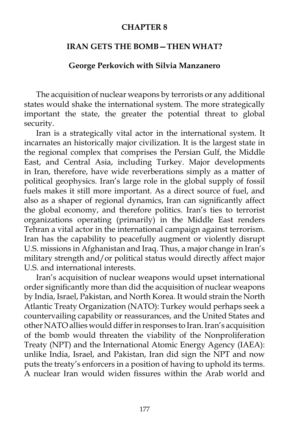#### **CHAPTER 8**

#### **IRAN GETS THE BOMB—THEN WHAT?**

#### **George Perkovich with Silvia Manzanero**

 The acquisition of nuclear weapons by terrorists or any additional states would shake the international system. The more strategically important the state, the greater the potential threat to global security.

 Iran is a strategically vital actor in the international system. It incarnates an historically major civilization. It is the largest state in the regional complex that comprises the Persian Gulf, the Middle East, and Central Asia, including Turkey. Major developments in Iran, therefore, have wide reverberations simply as a matter of political geophysics. Iran's large role in the global supply of fossil fuels makes it still more important. As a direct source of fuel, and also as a shaper of regional dynamics, Iran can significantly affect the global economy, and therefore politics. Iran's ties to terrorist organizations operating (primarily) in the Middle East renders Tehran a vital actor in the international campaign against terrorism. Iran has the capability to peacefully augment or violently disrupt U.S. missions in Afghanistan and Iraq. Thus, a major change in Iran's military strength and/or political status would directly affect major U.S. and international interests.

 Iran's acquisition of nuclear weapons would upset international order significantly more than did the acquisition of nuclear weapons by India, Israel, Pakistan, and North Korea. It would strain the North Atlantic Treaty Organization (NATO): Turkey would perhaps seek a countervailing capability or reassurances, and the United States and other NATO allies would differ in responses to Iran. Iran's acquisition of the bomb would threaten the viability of the Nonproliferation Treaty (NPT) and the International Atomic Energy Agency (IAEA): unlike India, Israel, and Pakistan, Iran did sign the NPT and now puts the treaty's enforcers in a position of having to uphold its terms. A nuclear Iran would widen fissures within the Arab world and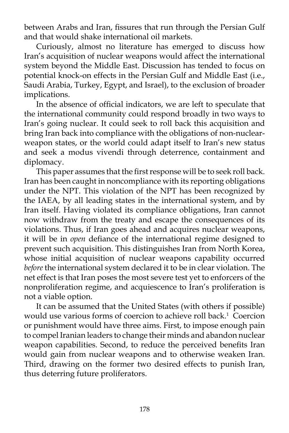between Arabs and Iran, fissures that run through the Persian Gulf and that would shake international oil markets.

 Curiously, almost no literature has emerged to discuss how Iran's acquisition of nuclear weapons would affect the international system beyond the Middle East. Discussion has tended to focus on potential knock-on effects in the Persian Gulf and Middle East (i.e., Saudi Arabia, Turkey, Egypt, and Israel), to the exclusion of broader implications.

 In the absence of official indicators, we are left to speculate that the international community could respond broadly in two ways to Iran's going nuclear. It could seek to roll back this acquisition and bring Iran back into compliance with the obligations of non-nuclearweapon states, or the world could adapt itself to Iran's new status and seek a modus vivendi through deterrence, containment and diplomacy.

 This paper assumes that the first response will be to seek roll back. Iran has been caught in noncompliance with its reporting obligations under the NPT. This violation of the NPT has been recognized by the IAEA, by all leading states in the international system, and by Iran itself. Having violated its compliance obligations, Iran cannot now withdraw from the treaty and escape the consequences of its violations. Thus, if Iran goes ahead and acquires nuclear weapons, it will be in *open* defiance of the international regime designed to prevent such acquisition. This distinguishes Iran from North Korea, whose initial acquisition of nuclear weapons capability occurred *before* the international system declared it to be in clear violation. The net effect is that Iran poses the most severe test yet to enforcers of the nonproliferation regime, and acquiescence to Iran's proliferation is not a viable option.

 It can be assumed that the United States (with others if possible) would use various forms of coercion to achieve roll back.<sup>1</sup> Coercion or punishment would have three aims. First, to impose enough pain to compel Iranian leaders to change their minds and abandon nuclear weapon capabilities. Second, to reduce the perceived benefits Iran would gain from nuclear weapons and to otherwise weaken Iran. Third, drawing on the former two desired effects to punish Iran, thus deterring future proliferators.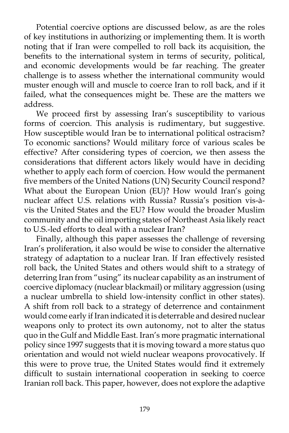Potential coercive options are discussed below, as are the roles of key institutions in authorizing or implementing them. It is worth noting that if Iran were compelled to roll back its acquisition, the benefits to the international system in terms of security, political, and economic developments would be far reaching. The greater challenge is to assess whether the international community would muster enough will and muscle to coerce Iran to roll back, and if it failed, what the consequences might be. These are the matters we address.

 We proceed first by assessing Iran's susceptibility to various forms of coercion. This analysis is rudimentary, but suggestive. How susceptible would Iran be to international political ostracism? To economic sanctions? Would military force of various scales be effective? After considering types of coercion, we then assess the considerations that different actors likely would have in deciding whether to apply each form of coercion. How would the permanent five members of the United Nations (UN) Security Council respond? What about the European Union (EU)? How would Iran's going nuclear affect U.S. relations with Russia? Russia's position vis-àvis the United States and the EU? How would the broader Muslim community and the oil importing states of Northeast Asia likely react to U.S.-led efforts to deal with a nuclear Iran?

 Finally, although this paper assesses the challenge of reversing Iran's proliferation, it also would be wise to consider the alternative strategy of adaptation to a nuclear Iran. If Iran effectively resisted roll back, the United States and others would shift to a strategy of deterring Iran from "using" its nuclear capability as an instrument of coercive diplomacy (nuclear blackmail) or military aggression (using a nuclear umbrella to shield low-intensity conflict in other states). A shift from roll back to a strategy of deterrence and containment would come early if Iran indicated it is deterrable and desired nuclear weapons only to protect its own autonomy, not to alter the status quo in the Gulf and Middle East. Iran's more pragmatic international policy since 1997 suggests that it is moving toward a more status quo orientation and would not wield nuclear weapons provocatively. If this were to prove true, the United States would find it extremely difficult to sustain international cooperation in seeking to coerce Iranian roll back. This paper, however, does not explore the adaptive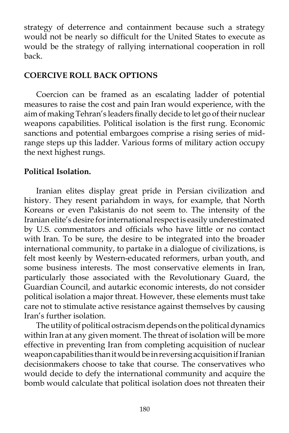strategy of deterrence and containment because such a strategy would not be nearly so difficult for the United States to execute as would be the strategy of rallying international cooperation in roll back.

## **COERCIVE ROLL BACK OPTIONS**

 Coercion can be framed as an escalating ladder of potential measures to raise the cost and pain Iran would experience, with the aim of making Tehran's leaders finally decide to let go of their nuclear weapons capabilities. Political isolation is the first rung. Economic sanctions and potential embargoes comprise a rising series of midrange steps up this ladder. Various forms of military action occupy the next highest rungs.

# **Political Isolation.**

 Iranian elites display great pride in Persian civilization and history. They resent pariahdom in ways, for example, that North Koreans or even Pakistanis do not seem to. The intensity of the Iranian elite's desire for international respect is easily underestimated by U.S. commentators and officials who have little or no contact with Iran. To be sure, the desire to be integrated into the broader international community, to partake in a dialogue of civilizations, is felt most keenly by Western-educated reformers, urban youth, and some business interests. The most conservative elements in Iran, particularly those associated with the Revolutionary Guard, the Guardian Council, and autarkic economic interests, do not consider political isolation a major threat. However, these elements must take care not to stimulate active resistance against themselves by causing Iran's further isolation.

 The utility of political ostracism depends on the political dynamics within Iran at any given moment. The threat of isolation will be more effective in preventing Iran from completing acquisition of nuclear weapon capabilities than it would be in reversing acquisition if Iranian decisionmakers choose to take that course. The conservatives who would decide to defy the international community and acquire the bomb would calculate that political isolation does not threaten their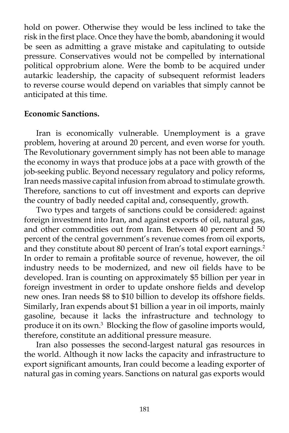hold on power. Otherwise they would be less inclined to take the risk in the first place. Once they have the bomb, abandoning it would be seen as admitting a grave mistake and capitulating to outside pressure. Conservatives would not be compelled by international political opprobrium alone. Were the bomb to be acquired under autarkic leadership, the capacity of subsequent reformist leaders to reverse course would depend on variables that simply cannot be anticipated at this time.

#### **Economic Sanctions.**

 Iran is economically vulnerable. Unemployment is a grave problem, hovering at around 20 percent, and even worse for youth. The Revolutionary government simply has not been able to manage the economy in ways that produce jobs at a pace with growth of the job-seeking public. Beyond necessary regulatory and policy reforms, Iran needs massive capital infusion from abroad to stimulate growth. Therefore, sanctions to cut off investment and exports can deprive the country of badly needed capital and, consequently, growth.

 Two types and targets of sanctions could be considered: against foreign investment into Iran, and against exports of oil, natural gas, and other commodities out from Iran. Between 40 percent and 50 percent of the central government's revenue comes from oil exports, and they constitute about 80 percent of Iran's total export earnings.<sup>2</sup> In order to remain a profitable source of revenue, however, the oil industry needs to be modernized, and new oil fields have to be developed. Iran is counting on approximately \$5 billion per year in foreign investment in order to update onshore fields and develop new ones. Iran needs \$8 to \$10 billion to develop its offshore fields. Similarly, Iran expends about \$1 billion a year in oil imports, mainly gasoline, because it lacks the infrastructure and technology to produce it on its own.<sup>3</sup> Blocking the flow of gasoline imports would, therefore, constitute an additional pressure measure.

 Iran also possesses the second-largest natural gas resources in the world. Although it now lacks the capacity and infrastructure to export significant amounts, Iran could become a leading exporter of natural gas in coming years. Sanctions on natural gas exports would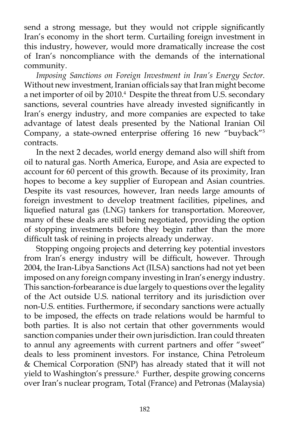send a strong message, but they would not cripple significantly Iran's economy in the short term. Curtailing foreign investment in this industry, however, would more dramatically increase the cost of Iran's noncompliance with the demands of the international community.

*Imposing Sanctions on Foreign Investment in Iran's Energy Sector.*  Without new investment, Iranian officials say that Iran might become a net importer of oil by 2010.4 Despite the threat from U.S. secondary sanctions, several countries have already invested significantly in Iran's energy industry, and more companies are expected to take advantage of latest deals presented by the National Iranian Oil Company, a state-owned enterprise offering 16 new "buyback"5 contracts.

 In the next 2 decades, world energy demand also will shift from oil to natural gas. North America, Europe, and Asia are expected to account for 60 percent of this growth. Because of its proximity, Iran hopes to become a key supplier of European and Asian countries. Despite its vast resources, however, Iran needs large amounts of foreign investment to develop treatment facilities, pipelines, and liquefied natural gas (LNG) tankers for transportation. Moreover, many of these deals are still being negotiated, providing the option of stopping investments before they begin rather than the more difficult task of reining in projects already underway.

 Stopping ongoing projects and deterring key potential investors from Iran's energy industry will be difficult, however. Through 2004, the Iran-Libya Sanctions Act (ILSA) sanctions had not yet been imposed on any foreign company investing in Iran's energy industry. This sanction-forbearance is due largely to questions over the legality of the Act outside U.S. national territory and its jurisdiction over non-U.S. entities. Furthermore, if secondary sanctions were actually to be imposed, the effects on trade relations would be harmful to both parties. It is also not certain that other governments would sanction companies under their own jurisdiction. Iran could threaten to annul any agreements with current partners and offer "sweet" deals to less prominent investors. For instance, China Petroleum & Chemical Corporation (SNP) has already stated that it will not yield to Washington's pressure.<sup>6</sup> Further, despite growing concerns over Iran's nuclear program, Total (France) and Petronas (Malaysia)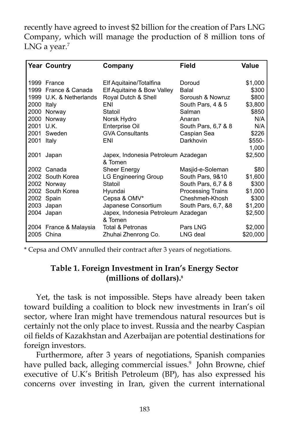recently have agreed to invest \$2 billion for the creation of Pars LNG Company, which will manage the production of 8 million tons of LNG a year. $7$ 

|      | <b>Year Country</b>  | Company                                        | <b>Field</b>             | Value    |
|------|----------------------|------------------------------------------------|--------------------------|----------|
|      | 1999 France          | Elf Aquitaine/Totalfina                        | Doroud                   | \$1,000  |
|      | 1999 France & Canada | Elf Aquitaine & Bow Valley                     | Balal                    | \$300    |
| 1999 | U.K. & Netherlands   | Royal Dutch & Shell                            | Soroush & Nowruz         | \$800    |
| 2000 | Italy                | <b>FNI</b>                                     | South Pars, 4 & 5        | \$3,800  |
| 2000 | Norway               | Statoil                                        | Salman                   | \$850    |
| 2000 | Norway               | Norsk Hydro                                    | Anaran                   | N/A      |
| 2001 | U.K.                 | Enterprise Oil                                 | South Pars, 6,7 & 8      | N/A      |
| 2001 | Sweden               | <b>GVA Consultants</b>                         | Caspian Sea              | \$226    |
| 2001 | Italy                | ENI                                            | Darkhovin                | \$550-   |
|      |                      |                                                |                          | 1,000    |
| 2001 | Japan                | Japex, Indonesia Petroleum Azadegan<br>& Tomen |                          | \$2,500  |
|      | 2002 Canada          | Sheer Energy                                   | Masjid-e-Soleman         | \$80     |
|      | 2002 South Korea     | LG Engineering Group                           | South Pars, 9&10         | \$1,600  |
|      | 2002 Norway          | Statoil                                        | South Pars, 6,7 & 8      | \$300    |
|      | 2002 South Korea     | Hyundai                                        | <b>Processing Trains</b> | \$1,000  |
|      | 2002 Spain           | Cepsa & OMV*                                   | Cheshmeh-Khosh           | \$300    |
| 2003 | Japan                | Japanese Consortium                            | South Pars, 6, 7, & 8    | \$1,200  |
| 2004 | Japan                | Japex, Indonesia Petroleum Azadegan<br>& Tomen |                          | \$2,500  |
| 2004 | France & Malaysia    | <b>Total &amp; Petronas</b>                    | Pars LNG                 | \$2,000  |
| 2005 | China                | Zhuhai Zhenrong Co.                            | LNG deal                 | \$20,000 |

\* Cepsa and OMV annulled their contract after 3 years of negotiations.

### **Table 1. Foreign Investment in Iran's Energy Sector (millions of dollars).8**

 Yet, the task is not impossible. Steps have already been taken toward building a coalition to block new investments in Iran's oil sector, where Iran might have tremendous natural resources but is certainly not the only place to invest. Russia and the nearby Caspian oil fields of Kazakhstan and Azerbaijan are potential destinations for foreign investors.

 Furthermore, after 3 years of negotiations, Spanish companies have pulled back, alleging commercial issues.<sup>9</sup> John Browne, chief executive of U.K's British Petroleum (BP), has also expressed his concerns over investing in Iran, given the current international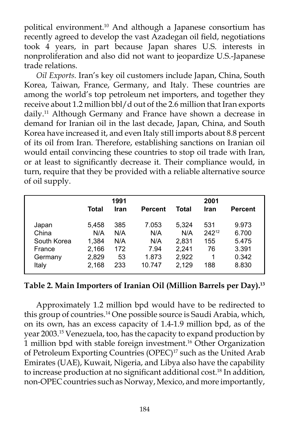political environment.10 And although a Japanese consortium has recently agreed to develop the vast Azadegan oil field, negotiations took 4 years, in part because Japan shares U.S. interests in nonproliferation and also did not want to jeopardize U.S.-Japanese trade relations.

*Oil Exports.* Iran's key oil customers include Japan, China, South Korea, Taiwan, France, Germany, and Italy. These countries are among the world's top petroleum net importers, and together they receive about 1.2 million bbl/d out of the 2.6 million that Iran exports daily.<sup>11</sup> Although Germany and France have shown a decrease in demand for Iranian oil in the last decade, Japan, China, and South Korea have increased it, and even Italy still imports about 8.8 percent of its oil from Iran. Therefore, establishing sanctions on Iranian oil would entail convincing these countries to stop oil trade with Iran, or at least to significantly decrease it. Their compliance would, in turn, require that they be provided with a reliable alternative source of oil supply.

|             |       | 1991 |                |       | 2001        |                |
|-------------|-------|------|----------------|-------|-------------|----------------|
|             | Total | Iran | <b>Percent</b> | Total | <b>Iran</b> | <b>Percent</b> |
| Japan       | 5,458 | 385  | 7.053          | 5.324 | 531         | 9.973          |
| China       | N/A   | N/A  | N/A            | N/A   | 24212       | 6.700          |
| South Korea | 1,384 | N/A  | N/A            | 2.831 | 155         | 5.475          |
| France      | 2,166 | 172  | 7.94           | 2,241 | 76          | 3.391          |
| Germany     | 2,829 | 53   | 1.873          | 2,922 | 1           | 0.342          |
| Italy       | 2,168 | 233  | 10.747         | 2,129 | 188         | 8.830          |

## **Table 2. Main Importers of Iranian Oil (Million Barrels per Day).13**

 Approximately 1.2 million bpd would have to be redirected to this group of countries.14 One possible source is Saudi Arabia, which, on its own, has an excess capacity of 1.4-1.9 million bpd, as of the year 2003.15 Venezuela, too, has the capacity to expand production by 1 million bpd with stable foreign investment.<sup>16</sup> Other Organization of Petroleum Exporting Countries (OPEC)<sup>17</sup> such as the United Arab Emirates (UAE), Kuwait, Nigeria, and Libya also have the capability to increase production at no significant additional cost.18 In addition, non-OPEC countries such as Norway, Mexico, and more importantly,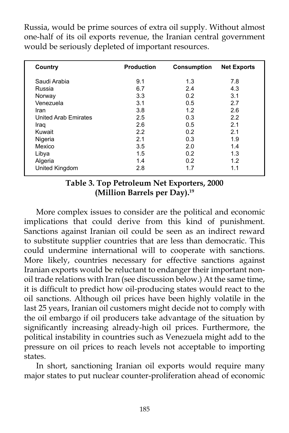Russia, would be prime sources of extra oil supply. Without almost one-half of its oil exports revenue, the Iranian central government would be seriously depleted of important resources.

| Country                     | <b>Production</b> | <b>Consumption</b> | <b>Net Exports</b> |  |
|-----------------------------|-------------------|--------------------|--------------------|--|
| Saudi Arabia                | 9.1               | 1.3                | 7.8                |  |
| Russia                      | 6.7               | 2.4                | 4.3                |  |
| Norway                      | 3.3               | 0.2                | 3.1                |  |
| Venezuela                   | 3.1               | 0.5                | 2.7                |  |
| Iran                        | 3.8               | 1.2                | 2.6                |  |
| <b>United Arab Emirates</b> | 2.5               | 0.3                | 2.2                |  |
| Iraq                        | 2.6               | 0.5                | 2.1                |  |
| Kuwait                      | 2.2               | 0.2                | 2.1                |  |
| Nigeria                     | 2.1               | 0.3                | 1.9                |  |
| Mexico                      | 3.5               | 2.0                | 1.4                |  |
| Libya                       | $1.5\,$           | 0.2                | 1.3                |  |
| Algeria                     | 1.4               | 0.2                | 1.2                |  |
| United Kingdom              | 2.8               | 1.7                | 1.1                |  |

**Table 3. Top Petroleum Net Exporters, 2000 (Million Barrels per Day).19**

 More complex issues to consider are the political and economic implications that could derive from this kind of punishment. Sanctions against Iranian oil could be seen as an indirect reward to substitute supplier countries that are less than democratic. This could undermine international will to cooperate with sanctions. More likely, countries necessary for effective sanctions against Iranian exports would be reluctant to endanger their important nonoil trade relations with Iran (see discussion below.) At the same time, it is difficult to predict how oil-producing states would react to the oil sanctions. Although oil prices have been highly volatile in the last 25 years, Iranian oil customers might decide not to comply with the oil embargo if oil producers take advantage of the situation by significantly increasing already-high oil prices. Furthermore, the political instability in countries such as Venezuela might add to the pressure on oil prices to reach levels not acceptable to importing states.

 In short, sanctioning Iranian oil exports would require many major states to put nuclear counter-proliferation ahead of economic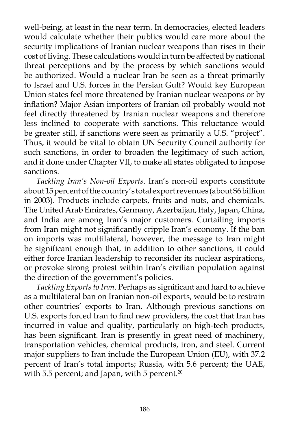well-being, at least in the near term. In democracies, elected leaders would calculate whether their publics would care more about the security implications of Iranian nuclear weapons than rises in their cost of living. These calculations would in turn be affected by national threat perceptions and by the process by which sanctions would be authorized. Would a nuclear Iran be seen as a threat primarily to Israel and U.S. forces in the Persian Gulf? Would key European Union states feel more threatened by Iranian nuclear weapons or by inflation? Major Asian importers of Iranian oil probably would not feel directly threatened by Iranian nuclear weapons and therefore less inclined to cooperate with sanctions. This reluctance would be greater still, if sanctions were seen as primarily a U.S. "project". Thus, it would be vital to obtain UN Security Council authority for such sanctions, in order to broaden the legitimacy of such action, and if done under Chapter VII, to make all states obligated to impose sanctions.

*Tackling Iran's Non-oil Exports*. Iran's non-oil exports constitute about 15 percent of the country's total export revenues (about \$6 billion in 2003). Products include carpets, fruits and nuts, and chemicals. The United Arab Emirates, Germany, Azerbaijan, Italy, Japan, China, and India are among Iran's major customers. Curtailing imports from Iran might not significantly cripple Iran's economy. If the ban on imports was multilateral, however, the message to Iran might be significant enough that, in addition to other sanctions, it could either force Iranian leadership to reconsider its nuclear aspirations, or provoke strong protest within Iran's civilian population against the direction of the government's policies.

*Tackling Exports to Iran*. Perhaps as significant and hard to achieve as a multilateral ban on Iranian non-oil exports, would be to restrain other countries' exports to Iran. Although previous sanctions on U.S. exports forced Iran to find new providers, the cost that Iran has incurred in value and quality, particularly on high-tech products, has been significant. Iran is presently in great need of machinery, transportation vehicles, chemical products, iron, and steel. Current major suppliers to Iran include the European Union (EU), with 37.2 percent of Iran's total imports; Russia, with 5.6 percent; the UAE, with 5.5 percent; and Japan, with 5 percent. $20$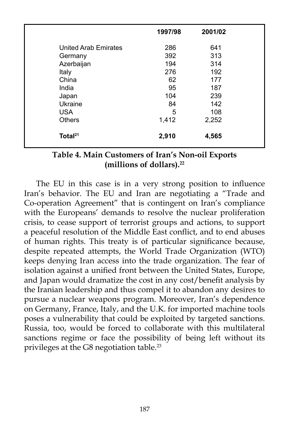|                             | 1997/98 | 2001/02 |  |
|-----------------------------|---------|---------|--|
| <b>United Arab Emirates</b> | 286     | 641     |  |
| Germany                     | 392     | 313     |  |
| Azerbaijan                  | 194     | 314     |  |
| Italy                       | 276     | 192     |  |
| China                       | 62      | 177     |  |
| India                       | 95      | 187     |  |
| Japan                       | 104     | 239     |  |
| Ukraine                     | 84      | 142     |  |
| <b>USA</b>                  | 5       | 108     |  |
| <b>Others</b>               | 1,412   | 2,252   |  |
| Total <sup>21</sup>         | 2,910   | 4,565   |  |

# **Table 4. Main Customers of Iran's Non-oil Exports (millions of dollars).22**

 The EU in this case is in a very strong position to influence Iran's behavior. The EU and Iran are negotiating a "Trade and Co-operation Agreement" that is contingent on Iran's compliance with the Europeans' demands to resolve the nuclear proliferation crisis, to cease support of terrorist groups and actions, to support a peaceful resolution of the Middle East conflict, and to end abuses of human rights. This treaty is of particular significance because, despite repeated attempts, the World Trade Organization (WTO) keeps denying Iran access into the trade organization. The fear of isolation against a unified front between the United States, Europe, and Japan would dramatize the cost in any cost/benefit analysis by the Iranian leadership and thus compel it to abandon any desires to pursue a nuclear weapons program. Moreover, Iran's dependence on Germany, France, Italy, and the U.K. for imported machine tools poses a vulnerability that could be exploited by targeted sanctions. Russia, too, would be forced to collaborate with this multilateral sanctions regime or face the possibility of being left without its privileges at the G8 negotiation table.<sup>23</sup>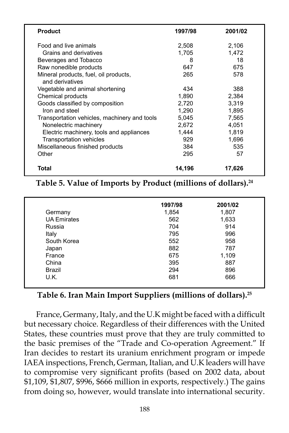| <b>Product</b>                                           | 1997/98 | 2001/02 |
|----------------------------------------------------------|---------|---------|
| Food and live animals                                    | 2,508   | 2,106   |
| Grains and derivatives                                   | 1,705   | 1,472   |
| Beverages and Tobacco                                    | 8       | 18      |
| Raw nonedible products                                   | 647     | 675     |
| Mineral products, fuel, oil products,<br>and derivatives | 265     | 578     |
| Vegetable and animal shortening                          | 434     | 388     |
| Chemical products                                        | 1,890   | 2.384   |
| Goods classified by composition                          | 2,720   | 3,319   |
| Iron and steel                                           | 1,290   | 1,895   |
| Transportation vehicles, machinery and tools             | 5,045   | 7,565   |
| Nonelectric machinery                                    | 2,672   | 4.051   |
| Electric machinery, tools and appliances                 | 1,444   | 1,819   |
| Transportation vehicles                                  | 929     | 1,696   |
| Miscellaneous finished products                          | 384     | 535     |
| Other                                                    | 295     | 57      |
| Total                                                    | 14,196  | 17,626  |

**Table 5. Value of Imports by Product (millions of dollars).24**

|                    | 1997/98 | 2001/02 |
|--------------------|---------|---------|
| Germany            | 1,854   | 1,807   |
| <b>UA Emirates</b> | 562     | 1,633   |
| Russia             | 704     | 914     |
| Italy              | 795     | 996     |
| South Korea        | 552     | 958     |
| Japan              | 882     | 787     |
| France             | 675     | 1,109   |
| China              | 395     | 887     |
| <b>Brazil</b>      | 294     | 896     |
| U.K.               | 681     | 666     |

### **Table 6. Iran Main Import Suppliers (millions of dollars).25**

 France, Germany, Italy, and the U.K might be faced with a difficult but necessary choice. Regardless of their differences with the United States, these countries must prove that they are truly committed to the basic premises of the "Trade and Co-operation Agreement." If Iran decides to restart its uranium enrichment program or impede IAEA inspections, French, German, Italian, and U.K leaders will have to compromise very significant profits (based on 2002 data, about \$1,109, \$1,807, \$996, \$666 million in exports, respectively.) The gains from doing so, however, would translate into international security.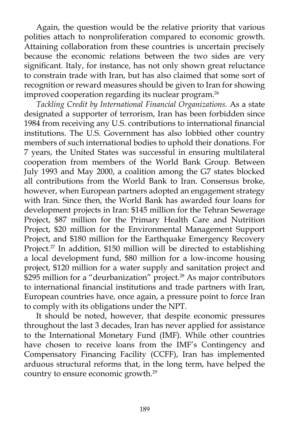Again, the question would be the relative priority that various polities attach to nonproliferation compared to economic growth. Attaining collaboration from these countries is uncertain precisely because the economic relations between the two sides are very significant. Italy, for instance, has not only shown great reluctance to constrain trade with Iran, but has also claimed that some sort of recognition or reward measures should be given to Iran for showing improved cooperation regarding its nuclear program.<sup>26</sup>

*Tackling Credit by International Financial Organizations.* As a state designated a supporter of terrorism, Iran has been forbidden since 1984 from receiving any U.S. contributions to international financial institutions. The U.S. Government has also lobbied other country members of such international bodies to uphold their donations. For 7 years, the United States was successful in ensuring multilateral cooperation from members of the World Bank Group. Between July 1993 and May 2000, a coalition among the G7 states blocked all contributions from the World Bank to Iran. Consensus broke, however, when European partners adopted an engagement strategy with Iran. Since then, the World Bank has awarded four loans for development projects in Iran: \$145 million for the Tehran Sewerage Project, \$87 million for the Primary Health Care and Nutrition Project, \$20 million for the Environmental Management Support Project, and \$180 million for the Earthquake Emergency Recovery Project.<sup>27</sup> In addition, \$150 million will be directed to establishing a local development fund, \$80 million for a low-income housing project, \$120 million for a water supply and sanitation project and \$295 million for a "deurbanization" project.<sup>28</sup> As major contributors to international financial institutions and trade partners with Iran, European countries have, once again, a pressure point to force Iran to comply with its obligations under the NPT.

 It should be noted, however, that despite economic pressures throughout the last 3 decades, Iran has never applied for assistance to the International Monetary Fund (IMF). While other countries have chosen to receive loans from the IMF's Contingency and Compensatory Financing Facility (CCFF), Iran has implemented arduous structural reforms that, in the long term, have helped the country to ensure economic growth.29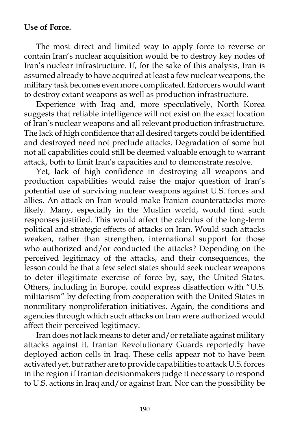### **Use of Force.**

 The most direct and limited way to apply force to reverse or contain Iran's nuclear acquisition would be to destroy key nodes of Iran's nuclear infrastructure. If, for the sake of this analysis, Iran is assumed already to have acquired at least a few nuclear weapons, the military task becomes even more complicated. Enforcers would want to destroy extant weapons as well as production infrastructure.

 Experience with Iraq and, more speculatively, North Korea suggests that reliable intelligence will not exist on the exact location of Iran's nuclear weapons and all relevant production infrastructure. The lack of high confidence that all desired targets could be identified and destroyed need not preclude attacks. Degradation of some but not all capabilities could still be deemed valuable enough to warrant attack, both to limit Iran's capacities and to demonstrate resolve.

 Yet, lack of high confidence in destroying all weapons and production capabilities would raise the major question of Iran's potential use of surviving nuclear weapons against U.S. forces and allies. An attack on Iran would make Iranian counterattacks more likely. Many, especially in the Muslim world, would find such responses justified. This would affect the calculus of the long-term political and strategic effects of attacks on Iran. Would such attacks weaken, rather than strengthen, international support for those who authorized and/or conducted the attacks? Depending on the perceived legitimacy of the attacks, and their consequences, the lesson could be that a few select states should seek nuclear weapons to deter illegitimate exercise of force by, say, the United States. Others, including in Europe, could express disaffection with "U.S. militarism" by defecting from cooperation with the United States in nonmilitary nonproliferation initiatives. Again, the conditions and agencies through which such attacks on Iran were authorized would affect their perceived legitimacy.

 Iran does not lack means to deter and/or retaliate against military attacks against it. Iranian Revolutionary Guards reportedly have deployed action cells in Iraq. These cells appear not to have been activated yet, but rather are to provide capabilities to attack U.S. forces in the region if Iranian decisionmakers judge it necessary to respond to U.S. actions in Iraq and/or against Iran. Nor can the possibility be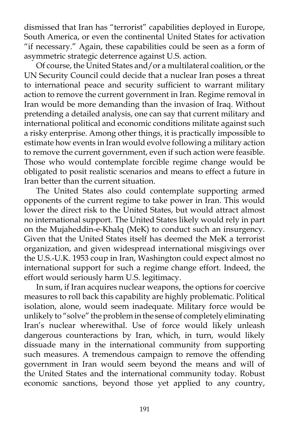dismissed that Iran has "terrorist" capabilities deployed in Europe, South America, or even the continental United States for activation "if necessary." Again, these capabilities could be seen as a form of asymmetric strategic deterrence against U.S. action.

 Of course, the United States and/or a multilateral coalition, or the UN Security Council could decide that a nuclear Iran poses a threat to international peace and security sufficient to warrant military action to remove the current government in Iran. Regime removal in Iran would be more demanding than the invasion of Iraq. Without pretending a detailed analysis, one can say that current military and international political and economic conditions militate against such a risky enterprise. Among other things, it is practically impossible to estimate how events in Iran would evolve following a military action to remove the current government, even if such action were feasible. Those who would contemplate forcible regime change would be obligated to posit realistic scenarios and means to effect a future in Iran better than the current situation.

 The United States also could contemplate supporting armed opponents of the current regime to take power in Iran. This would lower the direct risk to the United States, but would attract almost no international support. The United States likely would rely in part on the Mujaheddin-e-Khalq (MeK) to conduct such an insurgency. Given that the United States itself has deemed the MeK a terrorist organization, and given widespread international misgivings over the U.S.-U.K. 1953 coup in Iran, Washington could expect almost no international support for such a regime change effort. Indeed, the effort would seriously harm U.S. legitimacy.

 In sum, if Iran acquires nuclear weapons, the options for coercive measures to roll back this capability are highly problematic. Political isolation, alone, would seem inadequate. Military force would be unlikely to "solve" the problem in the sense of completely eliminating Iran's nuclear wherewithal. Use of force would likely unleash dangerous counteractions by Iran, which, in turn, would likely dissuade many in the international community from supporting such measures. A tremendous campaign to remove the offending government in Iran would seem beyond the means and will of the United States and the international community today. Robust economic sanctions, beyond those yet applied to any country,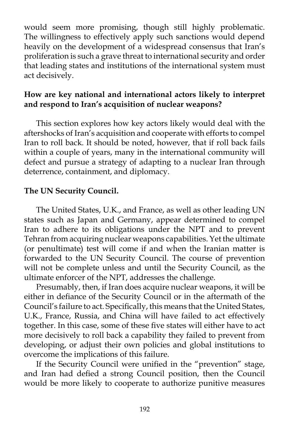would seem more promising, though still highly problematic. The willingness to effectively apply such sanctions would depend heavily on the development of a widespread consensus that Iran's proliferation is such a grave threat to international security and order that leading states and institutions of the international system must act decisively.

## **How are key national and international actors likely to interpret and respond to Iran's acquisition of nuclear weapons?**

 This section explores how key actors likely would deal with the aftershocks of Iran's acquisition and cooperate with efforts to compel Iran to roll back. It should be noted, however, that if roll back fails within a couple of years, many in the international community will defect and pursue a strategy of adapting to a nuclear Iran through deterrence, containment, and diplomacy.

### **The UN Security Council.**

 The United States, U.K., and France, as well as other leading UN states such as Japan and Germany, appear determined to compel Iran to adhere to its obligations under the NPT and to prevent Tehran from acquiring nuclear weapons capabilities. Yet the ultimate (or penultimate) test will come if and when the Iranian matter is forwarded to the UN Security Council. The course of prevention will not be complete unless and until the Security Council, as the ultimate enforcer of the NPT, addresses the challenge.

 Presumably, then, if Iran does acquire nuclear weapons, it will be either in defiance of the Security Council or in the aftermath of the Council's failure to act. Specifically, this means that the United States, U.K., France, Russia, and China will have failed to act effectively together. In this case, some of these five states will either have to act more decisively to roll back a capability they failed to prevent from developing, or adjust their own policies and global institutions to overcome the implications of this failure.

 If the Security Council were unified in the "prevention" stage, and Iran had defied a strong Council position, then the Council would be more likely to cooperate to authorize punitive measures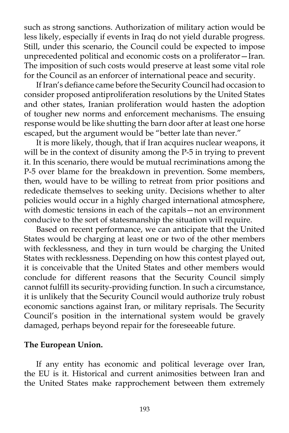such as strong sanctions. Authorization of military action would be less likely, especially if events in Iraq do not yield durable progress. Still, under this scenario, the Council could be expected to impose unprecedented political and economic costs on a proliferator—Iran. The imposition of such costs would preserve at least some vital role for the Council as an enforcer of international peace and security.

 If Iran's defiance came before the Security Council had occasion to consider proposed antiproliferation resolutions by the United States and other states, Iranian proliferation would hasten the adoption of tougher new norms and enforcement mechanisms. The ensuing response would be like shutting the barn door after at least one horse escaped, but the argument would be "better late than never."

 It is more likely, though, that if Iran acquires nuclear weapons, it will be in the context of disunity among the P-5 in trying to prevent it. In this scenario, there would be mutual recriminations among the P-5 over blame for the breakdown in prevention. Some members, then, would have to be willing to retreat from prior positions and rededicate themselves to seeking unity. Decisions whether to alter policies would occur in a highly charged international atmosphere, with domestic tensions in each of the capitals—not an environment conducive to the sort of statesmanship the situation will require.

 Based on recent performance, we can anticipate that the United States would be charging at least one or two of the other members with fecklessness, and they in turn would be charging the United States with recklessness. Depending on how this contest played out, it is conceivable that the United States and other members would conclude for different reasons that the Security Council simply cannot fulfill its security-providing function. In such a circumstance, it is unlikely that the Security Council would authorize truly robust economic sanctions against Iran, or military reprisals. The Security Council's position in the international system would be gravely damaged, perhaps beyond repair for the foreseeable future.

#### **The European Union.**

 If any entity has economic and political leverage over Iran, the EU is it. Historical and current animosities between Iran and the United States make rapprochement between them extremely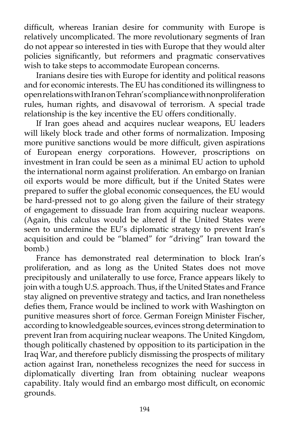difficult, whereas Iranian desire for community with Europe is relatively uncomplicated. The more revolutionary segments of Iran do not appear so interested in ties with Europe that they would alter policies significantly, but reformers and pragmatic conservatives wish to take steps to accommodate European concerns.

 Iranians desire ties with Europe for identity and political reasons and for economic interests. The EU has conditioned its willingness to open relations with Iran on Tehran's compliance with nonproliferation rules, human rights, and disavowal of terrorism. A special trade relationship is the key incentive the EU offers conditionally.

 If Iran goes ahead and acquires nuclear weapons, EU leaders will likely block trade and other forms of normalization. Imposing more punitive sanctions would be more difficult, given aspirations of European energy corporations. However, proscriptions on investment in Iran could be seen as a minimal EU action to uphold the international norm against proliferation. An embargo on Iranian oil exports would be more difficult, but if the United States were prepared to suffer the global economic consequences, the EU would be hard-pressed not to go along given the failure of their strategy of engagement to dissuade Iran from acquiring nuclear weapons. (Again, this calculus would be altered if the United States were seen to undermine the EU's diplomatic strategy to prevent Iran's acquisition and could be "blamed" for "driving" Iran toward the bomb.)

 France has demonstrated real determination to block Iran's proliferation, and as long as the United States does not move precipitously and unilaterally to use force, France appears likely to join with a tough U.S. approach. Thus, if the United States and France stay aligned on preventive strategy and tactics, and Iran nonetheless defies them, France would be inclined to work with Washington on punitive measures short of force. German Foreign Minister Fischer, according to knowledgeable sources, evinces strong determination to prevent Iran from acquiring nuclear weapons. The United Kingdom, though politically chastened by opposition to its participation in the Iraq War, and therefore publicly dismissing the prospects of military action against Iran, nonetheless recognizes the need for success in diplomatically diverting Iran from obtaining nuclear weapons capability. Italy would find an embargo most difficult, on economic grounds.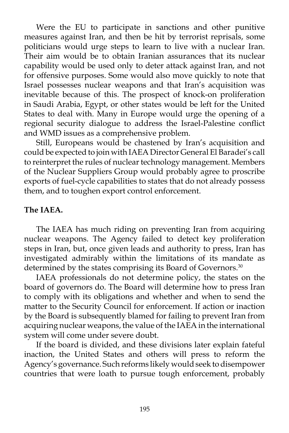Were the EU to participate in sanctions and other punitive measures against Iran, and then be hit by terrorist reprisals, some politicians would urge steps to learn to live with a nuclear Iran. Their aim would be to obtain Iranian assurances that its nuclear capability would be used only to deter attack against Iran, and not for offensive purposes. Some would also move quickly to note that Israel possesses nuclear weapons and that Iran's acquisition was inevitable because of this. The prospect of knock-on proliferation in Saudi Arabia, Egypt, or other states would be left for the United States to deal with. Many in Europe would urge the opening of a regional security dialogue to address the Israel-Palestine conflict and WMD issues as a comprehensive problem.

 Still, Europeans would be chastened by Iran's acquisition and could be expected to join with IAEA Director General El Baradei's call to reinterpret the rules of nuclear technology management. Members of the Nuclear Suppliers Group would probably agree to proscribe exports of fuel-cycle capabilities to states that do not already possess them, and to toughen export control enforcement.

### **The IAEA.**

 The IAEA has much riding on preventing Iran from acquiring nuclear weapons. The Agency failed to detect key proliferation steps in Iran, but, once given leads and authority to press, Iran has investigated admirably within the limitations of its mandate as determined by the states comprising its Board of Governors.<sup>30</sup>

 IAEA professionals do not determine policy, the states on the board of governors do. The Board will determine how to press Iran to comply with its obligations and whether and when to send the matter to the Security Council for enforcement. If action or inaction by the Board is subsequently blamed for failing to prevent Iran from acquiring nuclear weapons, the value of the IAEA in the international system will come under severe doubt.

 If the board is divided, and these divisions later explain fateful inaction, the United States and others will press to reform the Agency's governance. Such reforms likely would seek to disempower countries that were loath to pursue tough enforcement, probably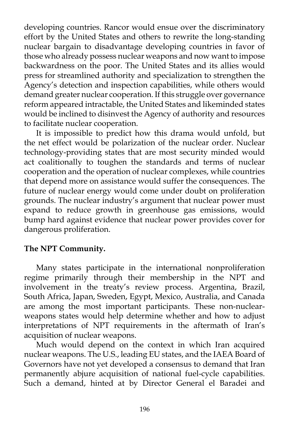developing countries. Rancor would ensue over the discriminatory effort by the United States and others to rewrite the long-standing nuclear bargain to disadvantage developing countries in favor of those who already possess nuclear weapons and now want to impose backwardness on the poor. The United States and its allies would press for streamlined authority and specialization to strengthen the Agency's detection and inspection capabilities, while others would demand greater nuclear cooperation. If this struggle over governance reform appeared intractable, the United States and likeminded states would be inclined to disinvest the Agency of authority and resources to facilitate nuclear cooperation.

 It is impossible to predict how this drama would unfold, but the net effect would be polarization of the nuclear order. Nuclear technology-providing states that are most security minded would act coalitionally to toughen the standards and terms of nuclear cooperation and the operation of nuclear complexes, while countries that depend more on assistance would suffer the consequences. The future of nuclear energy would come under doubt on proliferation grounds. The nuclear industry's argument that nuclear power must expand to reduce growth in greenhouse gas emissions, would bump hard against evidence that nuclear power provides cover for dangerous proliferation.

## **The NPT Community.**

 Many states participate in the international nonproliferation regime primarily through their membership in the NPT and involvement in the treaty's review process. Argentina, Brazil, South Africa, Japan, Sweden, Egypt, Mexico, Australia, and Canada are among the most important participants. These non-nuclearweapons states would help determine whether and how to adjust interpretations of NPT requirements in the aftermath of Iran's acquisition of nuclear weapons.

 Much would depend on the context in which Iran acquired nuclear weapons. The U.S., leading EU states, and the IAEA Board of Governors have not yet developed a consensus to demand that Iran permanently abjure acquisition of national fuel-cycle capabilities. Such a demand, hinted at by Director General el Baradei and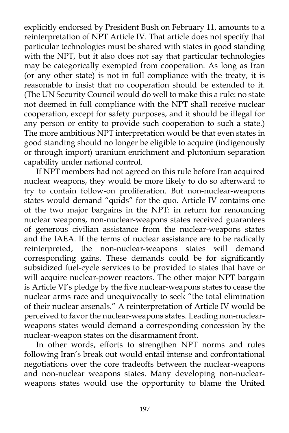explicitly endorsed by President Bush on February 11, amounts to a reinterpretation of NPT Article IV. That article does not specify that particular technologies must be shared with states in good standing with the NPT, but it also does not say that particular technologies may be categorically exempted from cooperation. As long as Iran (or any other state) is not in full compliance with the treaty, it is reasonable to insist that no cooperation should be extended to it. (The UN Security Council would do well to make this a rule: no state not deemed in full compliance with the NPT shall receive nuclear cooperation, except for safety purposes, and it should be illegal for any person or entity to provide such cooperation to such a state.) The more ambitious NPT interpretation would be that even states in good standing should no longer be eligible to acquire (indigenously or through import) uranium enrichment and plutonium separation capability under national control.

 If NPT members had not agreed on this rule before Iran acquired nuclear weapons, they would be more likely to do so afterward to try to contain follow-on proliferation. But non-nuclear-weapons states would demand "quids" for the quo. Article IV contains one of the two major bargains in the NPT: in return for renouncing nuclear weapons, non-nuclear-weapons states received guarantees of generous civilian assistance from the nuclear-weapons states and the IAEA. If the terms of nuclear assistance are to be radically reinterpreted, the non-nuclear-weapons states will demand corresponding gains. These demands could be for significantly subsidized fuel-cycle services to be provided to states that have or will acquire nuclear-power reactors. The other major NPT bargain is Article VI's pledge by the five nuclear-weapons states to cease the nuclear arms race and unequivocally to seek "the total elimination of their nuclear arsenals." A reinterpretation of Article IV would be perceived to favor the nuclear-weapons states. Leading non-nuclearweapons states would demand a corresponding concession by the nuclear-weapon states on the disarmament front.

 In other words, efforts to strengthen NPT norms and rules following Iran's break out would entail intense and confrontational negotiations over the core tradeoffs between the nuclear-weapons and non-nuclear weapons states. Many developing non-nuclearweapons states would use the opportunity to blame the United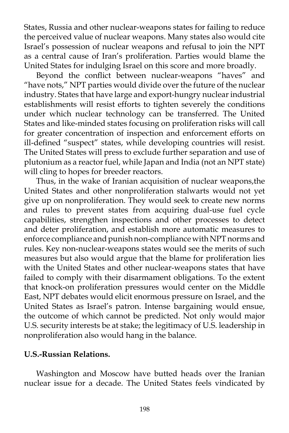States, Russia and other nuclear-weapons states for failing to reduce the perceived value of nuclear weapons. Many states also would cite Israel's possession of nuclear weapons and refusal to join the NPT as a central cause of Iran's proliferation. Parties would blame the United States for indulging Israel on this score and more broadly.

 Beyond the conflict between nuclear-weapons "haves" and "have nots," NPT parties would divide over the future of the nuclear industry. States that have large and export-hungry nuclear industrial establishments will resist efforts to tighten severely the conditions under which nuclear technology can be transferred. The United States and like-minded states focusing on proliferation risks will call for greater concentration of inspection and enforcement efforts on ill-defined "suspect" states, while developing countries will resist. The United States will press to exclude further separation and use of plutonium as a reactor fuel, while Japan and India (not an NPT state) will cling to hopes for breeder reactors.

 Thus, in the wake of Iranian acquisition of nuclear weapons,the United States and other nonproliferation stalwarts would not yet give up on nonproliferation. They would seek to create new norms and rules to prevent states from acquiring dual-use fuel cycle capabilities, strengthen inspections and other processes to detect and deter proliferation, and establish more automatic measures to enforce compliance and punish non-compliance with NPT norms and rules. Key non-nuclear-weapons states would see the merits of such measures but also would argue that the blame for proliferation lies with the United States and other nuclear-weapons states that have failed to comply with their disarmament obligations. To the extent that knock-on proliferation pressures would center on the Middle East, NPT debates would elicit enormous pressure on Israel, and the United States as Israel's patron. Intense bargaining would ensue, the outcome of which cannot be predicted. Not only would major U.S. security interests be at stake; the legitimacy of U.S. leadership in nonproliferation also would hang in the balance.

#### **U.S.-Russian Relations.**

 Washington and Moscow have butted heads over the Iranian nuclear issue for a decade. The United States feels vindicated by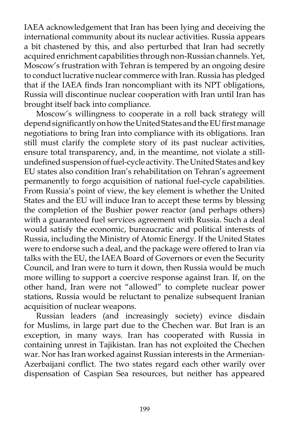IAEA acknowledgement that Iran has been lying and deceiving the international community about its nuclear activities. Russia appears a bit chastened by this, and also perturbed that Iran had secretly acquired enrichment capabilities through non-Russian channels. Yet, Moscow's frustration with Tehran is tempered by an ongoing desire to conduct lucrative nuclear commerce with Iran. Russia has pledged that if the IAEA finds Iran noncompliant with its NPT obligations, Russia will discontinue nuclear cooperation with Iran until Iran has brought itself back into compliance.

 Moscow's willingness to cooperate in a roll back strategy will depend significantly on how the United States and the EU first manage negotiations to bring Iran into compliance with its obligations. Iran still must clarify the complete story of its past nuclear activities, ensure total transparency, and, in the meantime, not violate a stillundefined suspension of fuel-cycle activity. The United States and key EU states also condition Iran's rehabilitation on Tehran's agreement permanently to forgo acquisition of national fuel-cycle capabilities. From Russia's point of view, the key element is whether the United States and the EU will induce Iran to accept these terms by blessing the completion of the Bushier power reactor (and perhaps others) with a guaranteed fuel services agreement with Russia. Such a deal would satisfy the economic, bureaucratic and political interests of Russia, including the Ministry of Atomic Energy. If the United States were to endorse such a deal, and the package were offered to Iran via talks with the EU, the IAEA Board of Governors or even the Security Council, and Iran were to turn it down, then Russia would be much more willing to support a coercive response against Iran. If, on the other hand, Iran were not "allowed" to complete nuclear power stations, Russia would be reluctant to penalize subsequent Iranian acquisition of nuclear weapons.

 Russian leaders (and increasingly society) evince disdain for Muslims, in large part due to the Chechen war. But Iran is an exception, in many ways. Iran has cooperated with Russia in containing unrest in Tajikistan. Iran has not exploited the Chechen war. Nor has Iran worked against Russian interests in the Armenian-Azerbaijani conflict. The two states regard each other warily over dispensation of Caspian Sea resources, but neither has appeared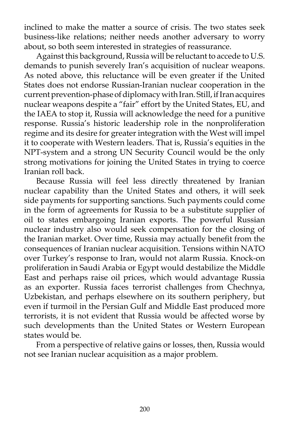inclined to make the matter a source of crisis. The two states seek business-like relations; neither needs another adversary to worry about, so both seem interested in strategies of reassurance.

 Against this background, Russia will be reluctant to accede to U.S. demands to punish severely Iran's acquisition of nuclear weapons. As noted above, this reluctance will be even greater if the United States does not endorse Russian-Iranian nuclear cooperation in the current prevention-phase of diplomacy with Iran. Still, if Iran acquires nuclear weapons despite a "fair" effort by the United States, EU, and the IAEA to stop it, Russia will acknowledge the need for a punitive response. Russia's historic leadership role in the nonproliferation regime and its desire for greater integration with the West will impel it to cooperate with Western leaders. That is, Russia's equities in the NPT-system and a strong UN Security Council would be the only strong motivations for joining the United States in trying to coerce Iranian roll back.

 Because Russia will feel less directly threatened by Iranian nuclear capability than the United States and others, it will seek side payments for supporting sanctions. Such payments could come in the form of agreements for Russia to be a substitute supplier of oil to states embargoing Iranian exports. The powerful Russian nuclear industry also would seek compensation for the closing of the Iranian market. Over time, Russia may actually benefit from the consequences of Iranian nuclear acquisition. Tensions within NATO over Turkey's response to Iran, would not alarm Russia. Knock-on proliferation in Saudi Arabia or Egypt would destabilize the Middle East and perhaps raise oil prices, which would advantage Russia as an exporter. Russia faces terrorist challenges from Chechnya, Uzbekistan, and perhaps elsewhere on its southern periphery, but even if turmoil in the Persian Gulf and Middle East produced more terrorists, it is not evident that Russia would be affected worse by such developments than the United States or Western European states would be.

 From a perspective of relative gains or losses, then, Russia would not see Iranian nuclear acquisition as a major problem.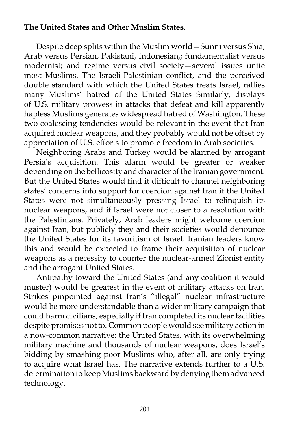## **The United States and Other Muslim States.**

 Despite deep splits within the Muslim world—Sunni versus Shia; Arab versus Persian, Pakistani, Indonesian,; fundamentalist versus modernist; and regime versus civil society—several issues unite most Muslims. The Israeli-Palestinian conflict, and the perceived double standard with which the United States treats Israel, rallies many Muslims' hatred of the United States Similarly, displays of U.S. military prowess in attacks that defeat and kill apparently hapless Muslims generates widespread hatred of Washington. These two coalescing tendencies would be relevant in the event that Iran acquired nuclear weapons, and they probably would not be offset by appreciation of U.S. efforts to promote freedom in Arab societies.

 Neighboring Arabs and Turkey would be alarmed by arrogant Persia's acquisition. This alarm would be greater or weaker depending on the bellicosity and character of the Iranian government. But the United States would find it difficult to channel neighboring states' concerns into support for coercion against Iran if the United States were not simultaneously pressing Israel to relinquish its nuclear weapons, and if Israel were not closer to a resolution with the Palestinians. Privately, Arab leaders might welcome coercion against Iran, but publicly they and their societies would denounce the United States for its favoritism of Israel. Iranian leaders know this and would be expected to frame their acquisition of nuclear weapons as a necessity to counter the nuclear-armed Zionist entity and the arrogant United States.

 Antipathy toward the United States (and any coalition it would muster) would be greatest in the event of military attacks on Iran. Strikes pinpointed against Iran's "illegal" nuclear infrastructure would be more understandable than a wider military campaign that could harm civilians, especially if Iran completed its nuclear facilities despite promises not to. Common people would see military action in a now-common narrative: the United States, with its overwhelming military machine and thousands of nuclear weapons, does Israel's bidding by smashing poor Muslims who, after all, are only trying to acquire what Israel has. The narrative extends further to a U.S. determination to keep Muslims backward by denying them advanced technology.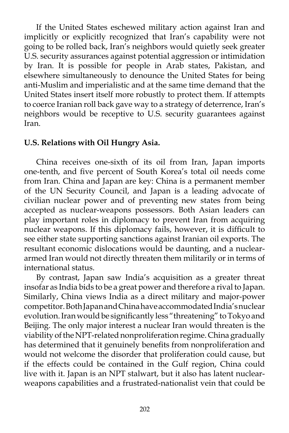If the United States eschewed military action against Iran and implicitly or explicitly recognized that Iran's capability were not going to be rolled back, Iran's neighbors would quietly seek greater U.S. security assurances against potential aggression or intimidation by Iran. It is possible for people in Arab states, Pakistan, and elsewhere simultaneously to denounce the United States for being anti-Muslim and imperialistic and at the same time demand that the United States insert itself more robustly to protect them. If attempts to coerce Iranian roll back gave way to a strategy of deterrence, Iran's neighbors would be receptive to U.S. security guarantees against Iran.

## **U.S. Relations with Oil Hungry Asia.**

 China receives one-sixth of its oil from Iran, Japan imports one-tenth, and five percent of South Korea's total oil needs come from Iran. China and Japan are key: China is a permanent member of the UN Security Council, and Japan is a leading advocate of civilian nuclear power and of preventing new states from being accepted as nuclear-weapons possessors. Both Asian leaders can play important roles in diplomacy to prevent Iran from acquiring nuclear weapons. If this diplomacy fails, however, it is difficult to see either state supporting sanctions against Iranian oil exports. The resultant economic dislocations would be daunting, and a nucleararmed Iran would not directly threaten them militarily or in terms of international status.

 By contrast, Japan saw India's acquisition as a greater threat insofar as India bids to be a great power and therefore a rival to Japan. Similarly, China views India as a direct military and major-power competitor. Both Japan and China have accommodated India's nuclear evolution. Iran would be significantly less "threatening" to Tokyo and Beijing. The only major interest a nuclear Iran would threaten is the viability of the NPT-related nonproliferation regime. China gradually has determined that it genuinely benefits from nonproliferation and would not welcome the disorder that proliferation could cause, but if the effects could be contained in the Gulf region, China could live with it. Japan is an NPT stalwart, but it also has latent nuclearweapons capabilities and a frustrated-nationalist vein that could be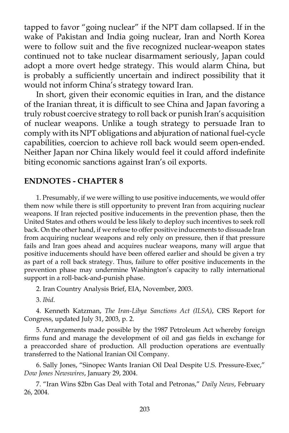tapped to favor "going nuclear" if the NPT dam collapsed. If in the wake of Pakistan and India going nuclear, Iran and North Korea were to follow suit and the five recognized nuclear-weapon states continued not to take nuclear disarmament seriously, Japan could adopt a more overt hedge strategy. This would alarm China, but is probably a sufficiently uncertain and indirect possibility that it would not inform China's strategy toward Iran.

 In short, given their economic equities in Iran, and the distance of the Iranian threat, it is difficult to see China and Japan favoring a truly robust coercive strategy to roll back or punish Iran's acquisition of nuclear weapons. Unlike a tough strategy to persuade Iran to comply with its NPT obligations and abjuration of national fuel-cycle capabilities, coercion to achieve roll back would seem open-ended. Neither Japan nor China likely would feel it could afford indefinite biting economic sanctions against Iran's oil exports.

#### **ENDNOTES - CHAPTER 8**

 1. Presumably, if we were willing to use positive inducements, we would offer them now while there is still opportunity to prevent Iran from acquiring nuclear weapons. If Iran rejected positive inducements in the prevention phase, then the United States and others would be less likely to deploy such incentives to seek roll back. On the other hand, if we refuse to offer positive inducements to dissuade Iran from acquiring nuclear weapons and rely only on pressure, then if that pressure fails and Iran goes ahead and acquires nuclear weapons, many will argue that positive inducements should have been offered earlier and should be given a try as part of a roll back strategy. Thus, failure to offer positive inducements in the prevention phase may undermine Washington's capacity to rally international support in a roll-back-and-punish phase.

2. Iran Country Analysis Brief, EIA, November, 2003.

3. *Ibid*.

 4. Kenneth Katzman, *The Iran-Libya Sanctions Act (ILSA)*, CRS Report for Congress, updated July 31, 2003, p. 2.

 5. Arrangements made possible by the 1987 Petroleum Act whereby foreign firms fund and manage the development of oil and gas fields in exchange for a preaccorded share of production. All production operations are eventually transferred to the National Iranian Oil Company.

 6. Sally Jones, "Sinopec Wants Iranian Oil Deal Despite U.S. Pressure-Exec," *Dow Jones Newswires*, January 29, 2004.

 7. "Iran Wins \$2bn Gas Deal with Total and Petronas," *Daily News*, February 26, 2004.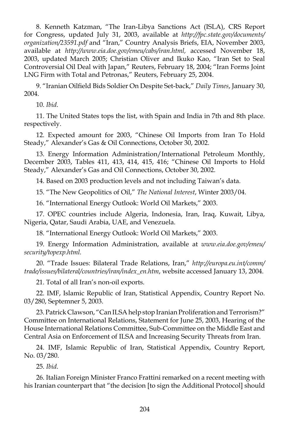8. Kenneth Katzman, "The Iran-Libya Sanctions Act (ISLA), CRS Report for Congress, updated July 31, 2003, available at *http://fpc.state.gov/documents/ organization/23591.pdf* and "Iran," Country Analysis Briefs, EIA, November 2003, available at *http://www.eia.doe.gov/emeu/cabs/iran.html,* accessed November 18, 2003, updated March 2005; Christian Oliver and Ikuko Kao, "Iran Set to Seal Controversial Oil Deal with Japan," Reuters, February 18, 2004; "Iran Forms Joint LNG Firm with Total and Petronas," Reuters, February 25, 2004.

 9. "Iranian Oilfield Bids Soldier On Despite Set-back," *Daily Times*, January 30, 2004.

10. *Ibid*.

 11. The United States tops the list, with Spain and India in 7th and 8th place. respectively.

 12. Expected amount for 2003, "Chinese Oil Imports from Iran To Hold Steady," Alexander's Gas & Oil Connections, October 30, 2002.

 13. Energy Information Administration/International Petroleum Monthly, December 2003, Tables 411, 413, 414, 415, 416; "Chinese Oil Imports to Hold Steady," Alexander's Gas and Oil Connections, October 30, 2002.

14. Based on 2003 production levels and not including Taiwan's data.

15. "The New Geopolitics of Oil," *The National Interest*, Winter 2003/04.

16. "International Energy Outlook: World Oil Markets," 2003.

 17. OPEC countries include Algeria, Indonesia, Iran, Iraq, Kuwait, Libya, Nigeria, Qatar, Saudi Arabia, UAE, and Venezuela.

18. "International Energy Outlook: World Oil Markets," 2003.

 19. Energy Information Administration, available at *www.eia.doe.gov/emeu/ security/topexp.html.*

20. "Trade Issues: Bilateral Trade Relations, Iran," *http://europa.eu.int/comm/ trade/issues/bilateral/countries/iran/index\_en.htm*, website accessed January 13, 2004.

21. Total of all Iran's non-oil exports.

 22. IMF, Islamic Republic of Iran, Statistical Appendix, Country Report No. 03/280, Septemner 5, 2003.

 23. Patrick Clawson, "Can ILSA help stop Iranian Proliferation and Terrorism?" Committee on International Relations, Statement for June 25, 2003, Hearing of the House International Relations Committee, Sub-Committee on the Middle East and Central Asia on Enforcement of ILSA and Increasing Security Threats from Iran.

 24. IMF, Islamic Republic of Iran, Statistical Appendix, Country Report, No. 03/280.

25. *Ibid*.

 26. Italian Foreign Minister Franco Frattini remarked on a recent meeting with his Iranian counterpart that "the decision [to sign the Additional Protocol] should